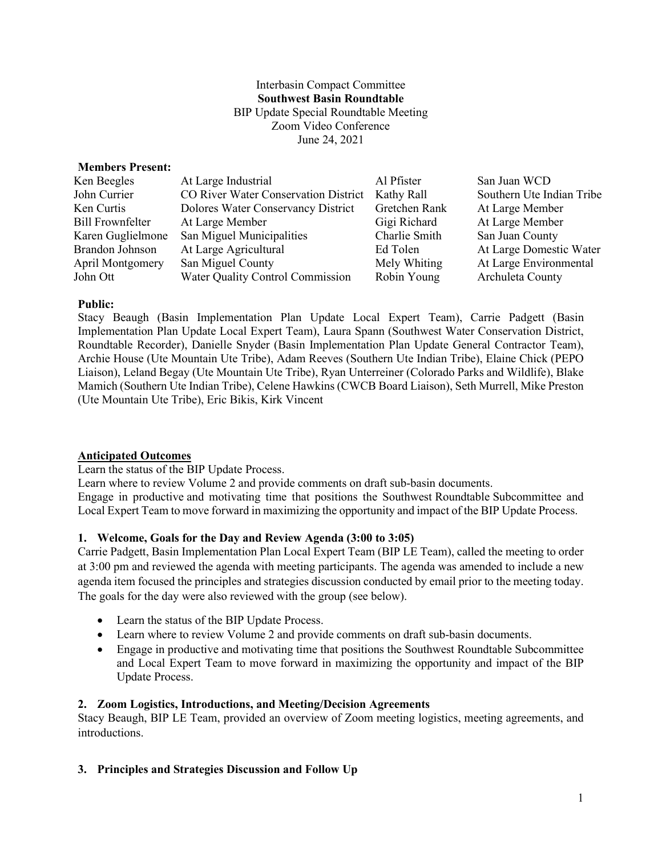### Interbasin Compact Committee **Southwest Basin Roundtable** BIP Update Special Roundtable Meeting Zoom Video Conference June 24, 2021

### **Members Present:**

| Ken Beegles       | At Large Industrial                  | Al Pfister    | San Juan WCD              |
|-------------------|--------------------------------------|---------------|---------------------------|
| John Currier      | CO River Water Conservation District | Kathy Rall    | Southern Ute Indian Tribe |
| Ken Curtis        | Dolores Water Conservancy District   | Gretchen Rank | At Large Member           |
| Bill Frownfelter  | At Large Member                      | Gigi Richard  | At Large Member           |
| Karen Guglielmone | San Miguel Municipalities            | Charlie Smith | San Juan County           |
| Brandon Johnson   | At Large Agricultural                | Ed Tolen      | At Large Domestic Water   |
| April Montgomery  | San Miguel County                    | Mely Whiting  | At Large Environmental    |
| John Ott          | Water Quality Control Commission     | Robin Young   | Archuleta County          |

#### **Public:**

Stacy Beaugh (Basin Implementation Plan Update Local Expert Team), Carrie Padgett (Basin Implementation Plan Update Local Expert Team), Laura Spann (Southwest Water Conservation District, Roundtable Recorder), Danielle Snyder (Basin Implementation Plan Update General Contractor Team), Archie House (Ute Mountain Ute Tribe), Adam Reeves (Southern Ute Indian Tribe), Elaine Chick (PEPO Liaison), Leland Begay (Ute Mountain Ute Tribe), Ryan Unterreiner (Colorado Parks and Wildlife), Blake Mamich (Southern Ute Indian Tribe), Celene Hawkins (CWCB Board Liaison), Seth Murrell, Mike Preston (Ute Mountain Ute Tribe), Eric Bikis, Kirk Vincent

## **Anticipated Outcomes**

Learn the status of the BIP Update Process.

Learn where to review Volume 2 and provide comments on draft sub-basin documents. Engage in productive and motivating time that positions the Southwest Roundtable Subcommittee and Local Expert Team to move forward in maximizing the opportunity and impact of the BIP Update Process.

### **1. Welcome, Goals for the Day and Review Agenda (3:00 to 3:05)**

Carrie Padgett, Basin Implementation Plan Local Expert Team (BIP LE Team), called the meeting to order at 3:00 pm and reviewed the agenda with meeting participants. The agenda was amended to include a new agenda item focused the principles and strategies discussion conducted by email prior to the meeting today. The goals for the day were also reviewed with the group (see below).

- Learn the status of the BIP Update Process.
- Learn where to review Volume 2 and provide comments on draft sub-basin documents.
- Engage in productive and motivating time that positions the Southwest Roundtable Subcommittee and Local Expert Team to move forward in maximizing the opportunity and impact of the BIP Update Process.

#### **2. Zoom Logistics, Introductions, and Meeting/Decision Agreements**

Stacy Beaugh, BIP LE Team, provided an overview of Zoom meeting logistics, meeting agreements, and introductions.

### **3. Principles and Strategies Discussion and Follow Up**